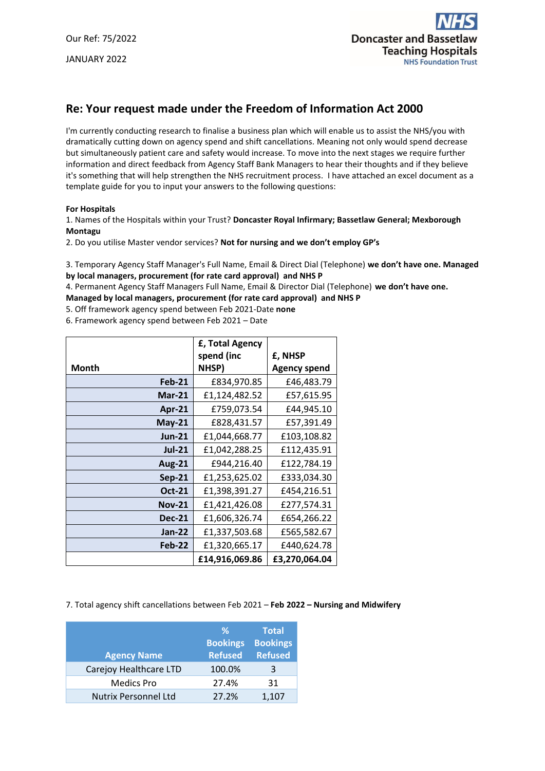

# **Re: Your request made under the Freedom of Information Act 2000**

I'm currently conducting research to finalise a business plan which will enable us to assist the NHS/you with dramatically cutting down on agency spend and shift cancellations. Meaning not only would spend decrease but simultaneously patient care and safety would increase. To move into the next stages we require further information and direct feedback from Agency Staff Bank Managers to hear their thoughts and if they believe it's something that will help strengthen the NHS recruitment process. I have attached an excel document as a template guide for you to input your answers to the following questions:

#### **For Hospitals**

1. Names of the Hospitals within your Trust? **Doncaster Royal Infirmary; Bassetlaw General; Mexborough Montagu**

2. Do you utilise Master vendor services? **Not for nursing and we don't employ GP's**

3. Temporary Agency Staff Manager's Full Name, Email & Direct Dial (Telephone) **we don't have one. Managed by local managers, procurement (for rate card approval) and NHS P**

4. Permanent Agency Staff Managers Full Name, Email & Director Dial (Telephone) **we don't have one.** 

**Managed by local managers, procurement (for rate card approval) and NHS P**

5. Off framework agency spend between Feb 2021-Date **none**

6. Framework agency spend between Feb 2021 – Date

|               | <b>£, Total Agency</b> |               |
|---------------|------------------------|---------------|
|               | spend (inc             | £, NHSP       |
| Month         | NHSP)                  | Agency spend  |
| <b>Feb-21</b> | £834,970.85            | £46,483.79    |
| $Mar-21$      | £1,124,482.52          | £57,615.95    |
| Apr-21        | £759,073.54            | £44,945.10    |
| $May-21$      | £828,431.57            | £57,391.49    |
| $Jun-21$      | £1,044,668.77          | £103,108.82   |
| <b>Jul-21</b> | £1,042,288.25          | £112,435.91   |
| <b>Aug-21</b> | £944,216.40            | £122,784.19   |
| <b>Sep-21</b> | £1,253,625.02          | £333,034.30   |
| <b>Oct-21</b> | £1,398,391.27          | £454,216.51   |
| <b>Nov-21</b> | £1,421,426.08          | £277,574.31   |
| <b>Dec-21</b> | £1,606,326.74          | £654,266.22   |
| <b>Jan-22</b> | £1,337,503.68          | £565,582.67   |
| Feb-22        | £1,320,665.17          | £440,624.78   |
|               | £14,916,069.86         | £3,270,064.04 |

### 7. Total agency shift cancellations between Feb 2021 – **Feb 2022 – Nursing and Midwifery**

|                             | %<br><b>Bookings</b> | <b>Total</b><br><b>Bookings</b> |
|-----------------------------|----------------------|---------------------------------|
| <b>Agency Name</b>          | <b>Refused</b>       | <b>Refused</b>                  |
| Carejoy Healthcare LTD      | 100.0%               | З                               |
| <b>Medics Pro</b>           | 27.4%                | 31                              |
| <b>Nutrix Personnel Ltd</b> | 27.2%                | 1,107                           |